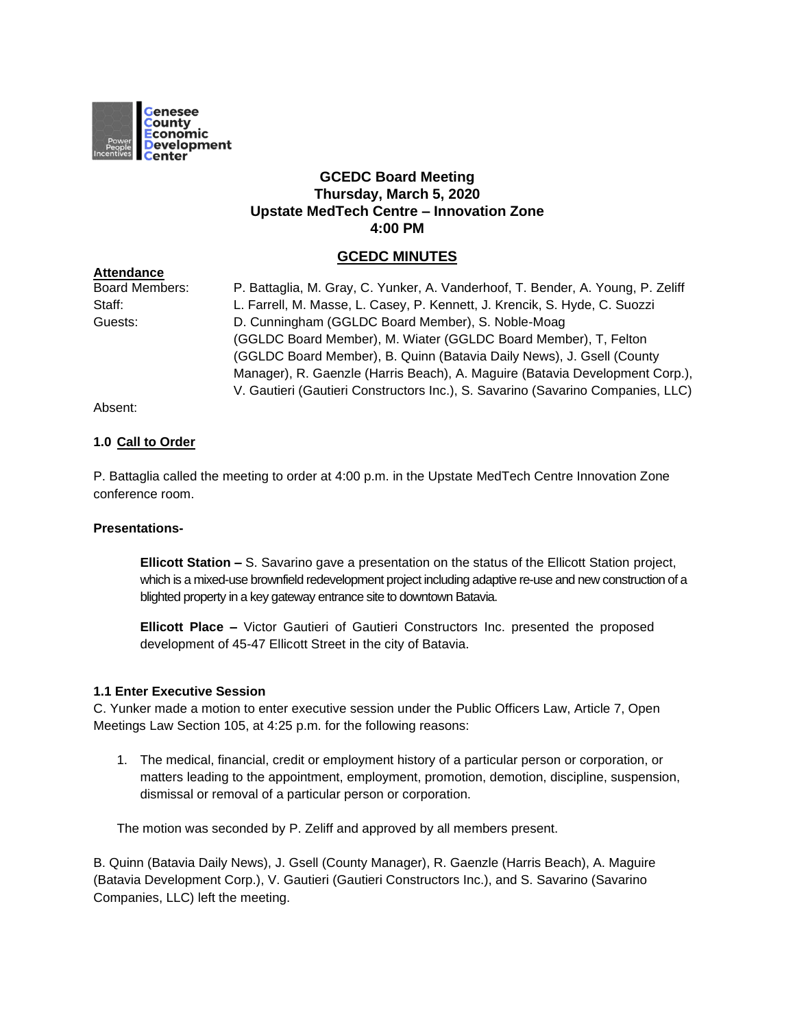

# **GCEDC Board Meeting Thursday, March 5, 2020 Upstate MedTech Centre – Innovation Zone 4:00 PM**

# **GCEDC MINUTES**

| <b>Board Members:</b> | P. Battaglia, M. Gray, C. Yunker, A. Vanderhoof, T. Bender, A. Young, P. Zeliff |
|-----------------------|---------------------------------------------------------------------------------|
| Staff:                | L. Farrell, M. Masse, L. Casey, P. Kennett, J. Krencik, S. Hyde, C. Suozzi      |
| Guests:               | D. Cunningham (GGLDC Board Member), S. Noble-Moag                               |
|                       | (GGLDC Board Member), M. Wiater (GGLDC Board Member), T, Felton                 |
|                       | (GGLDC Board Member), B. Quinn (Batavia Daily News), J. Gsell (County           |
|                       | Manager), R. Gaenzle (Harris Beach), A. Maguire (Batavia Development Corp.),    |
|                       | V. Gautieri (Gautieri Constructors Inc.), S. Savarino (Savarino Companies, LLC) |
|                       |                                                                                 |

Absent:

**Attendance**

## **1.0 Call to Order**

P. Battaglia called the meeting to order at 4:00 p.m. in the Upstate MedTech Centre Innovation Zone conference room.

# **Presentations-**

**Ellicott Station –** S. Savarino gave a presentation on the status of the Ellicott Station project, which is a mixed-use brownfield redevelopment project including adaptive re-use and new construction of a blighted property in a key gateway entrance site to downtown Batavia.

**Ellicott Place –** Victor Gautieri of Gautieri Constructors Inc. presented the proposed development of 45-47 Ellicott Street in the city of Batavia.

### **1.1 Enter Executive Session**

C. Yunker made a motion to enter executive session under the Public Officers Law, Article 7, Open Meetings Law Section 105, at 4:25 p.m. for the following reasons:

1. The medical, financial, credit or employment history of a particular person or corporation, or matters leading to the appointment, employment, promotion, demotion, discipline, suspension, dismissal or removal of a particular person or corporation.

The motion was seconded by P. Zeliff and approved by all members present.

B. Quinn (Batavia Daily News), J. Gsell (County Manager), R. Gaenzle (Harris Beach), A. Maguire (Batavia Development Corp.), V. Gautieri (Gautieri Constructors Inc.), and S. Savarino (Savarino Companies, LLC) left the meeting.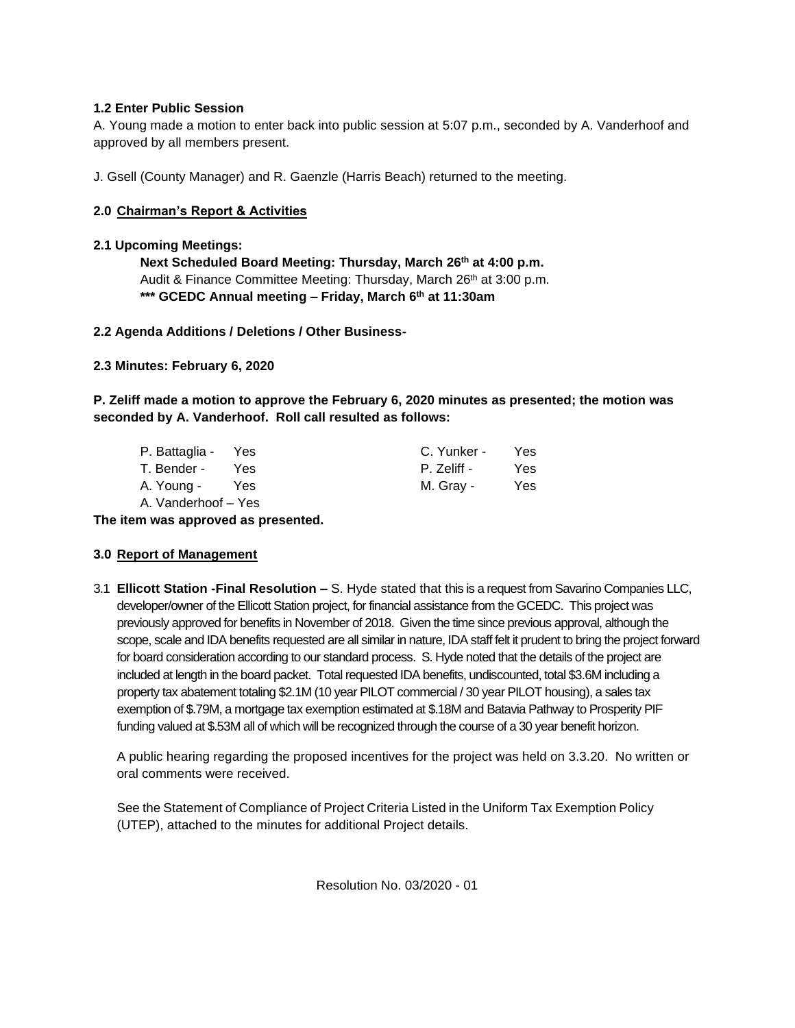# **1.2 Enter Public Session**

A. Young made a motion to enter back into public session at 5:07 p.m., seconded by A. Vanderhoof and approved by all members present.

J. Gsell (County Manager) and R. Gaenzle (Harris Beach) returned to the meeting.

# **2.0 Chairman's Report & Activities**

# **2.1 Upcoming Meetings:**

**Next Scheduled Board Meeting: Thursday, March 26th at 4:00 p.m.** Audit & Finance Committee Meeting: Thursday, March 26<sup>th</sup> at 3:00 p.m. **\*\*\* GCEDC Annual meeting – Friday, March 6th at 11:30am**

## **2.2 Agenda Additions / Deletions / Other Business-**

**2.3 Minutes: February 6, 2020**

**P. Zeliff made a motion to approve the February 6, 2020 minutes as presented; the motion was seconded by A. Vanderhoof. Roll call resulted as follows:**

| P. Battaglia - Yes  |      | C. Yunker - | Yes. |
|---------------------|------|-------------|------|
| T. Bender -         | Yes. | P. Zeliff - | Yes. |
| A. Young -          | Yes  | M. Gray -   | Yes. |
| A. Vanderhoof - Yes |      |             |      |

**The item was approved as presented.**

# **3.0 Report of Management**

3.1 **Ellicott Station -Final Resolution –** S. Hyde stated that this is a request from Savarino Companies LLC, developer/owner of the Ellicott Station project, for financial assistance from the GCEDC. This project was previously approved for benefits in November of 2018. Given the time since previous approval, although the scope, scale and IDA benefits requested are all similar in nature, IDA staff felt it prudent to bring the project forward for board consideration according to our standard process. S. Hyde noted that the details of the project are included at length in the board packet. Total requested IDA benefits, undiscounted, total \$3.6M including a property tax abatement totaling \$2.1M (10 year PILOT commercial / 30 year PILOT housing), a sales tax exemption of \$.79M, a mortgage tax exemption estimated at \$.18M and Batavia Pathway to Prosperity PIF funding valued at \$.53M all of which will be recognized through the course of a 30 year benefit horizon.

A public hearing regarding the proposed incentives for the project was held on 3.3.20. No written or oral comments were received.

See the Statement of Compliance of Project Criteria Listed in the Uniform Tax Exemption Policy (UTEP), attached to the minutes for additional Project details.

Resolution No. 03/2020 - 01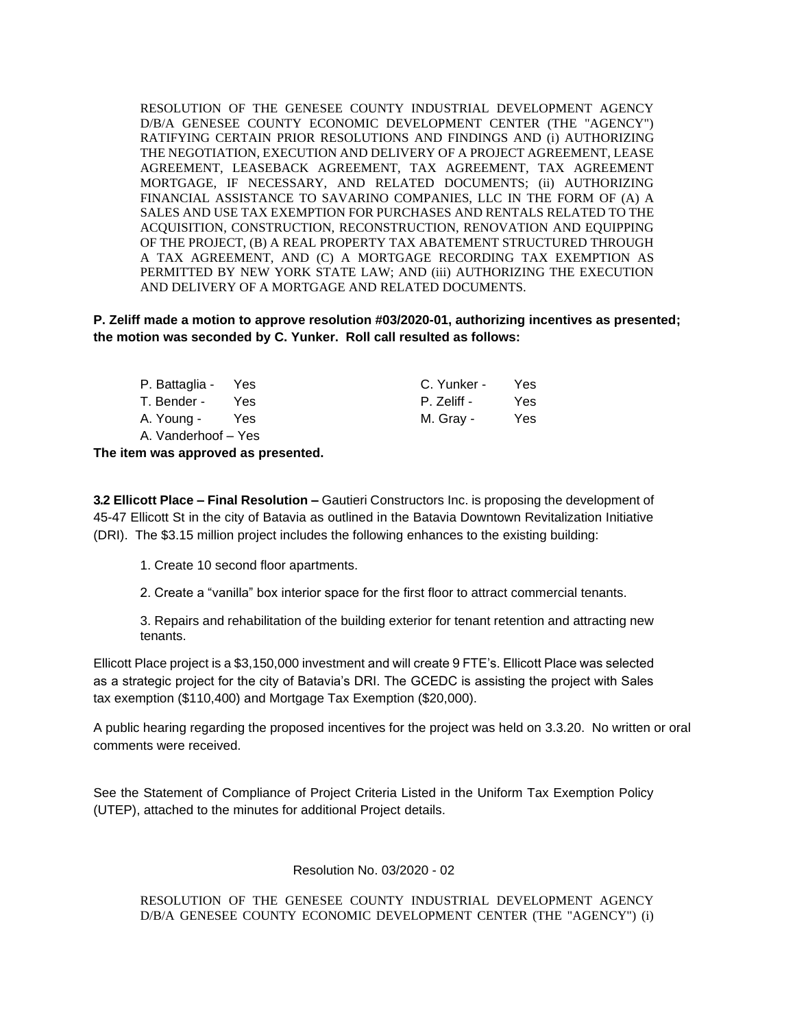RESOLUTION OF THE GENESEE COUNTY INDUSTRIAL DEVELOPMENT AGENCY D/B/A GENESEE COUNTY ECONOMIC DEVELOPMENT CENTER (THE "AGENCY") RATIFYING CERTAIN PRIOR RESOLUTIONS AND FINDINGS AND (i) AUTHORIZING THE NEGOTIATION, EXECUTION AND DELIVERY OF A PROJECT AGREEMENT, LEASE AGREEMENT, LEASEBACK AGREEMENT, TAX AGREEMENT, TAX AGREEMENT MORTGAGE, IF NECESSARY, AND RELATED DOCUMENTS; (ii) AUTHORIZING FINANCIAL ASSISTANCE TO SAVARINO COMPANIES, LLC IN THE FORM OF (A) A SALES AND USE TAX EXEMPTION FOR PURCHASES AND RENTALS RELATED TO THE ACQUISITION, CONSTRUCTION, RECONSTRUCTION, RENOVATION AND EQUIPPING OF THE PROJECT, (B) A REAL PROPERTY TAX ABATEMENT STRUCTURED THROUGH A TAX AGREEMENT, AND (C) A MORTGAGE RECORDING TAX EXEMPTION AS PERMITTED BY NEW YORK STATE LAW; AND (iii) AUTHORIZING THE EXECUTION AND DELIVERY OF A MORTGAGE AND RELATED DOCUMENTS.

## **P. Zeliff made a motion to approve resolution #03/2020-01, authorizing incentives as presented; the motion was seconded by C. Yunker. Roll call resulted as follows:**

| P. Battaglia - Yes  |     | C. Yunker - | Yes. |
|---------------------|-----|-------------|------|
| T. Bender -         | Yes | P. Zeliff - | Yes. |
| A. Young -          | Yes | M. Gray -   | Yes. |
| A. Vanderhoof - Yes |     |             |      |

**The item was approved as presented.**

**3.2 Ellicott Place – Final Resolution –** Gautieri Constructors Inc. is proposing the development of 45-47 Ellicott St in the city of Batavia as outlined in the Batavia Downtown Revitalization Initiative (DRI). The \$3.15 million project includes the following enhances to the existing building:

1. Create 10 second floor apartments.

2. Create a "vanilla" box interior space for the first floor to attract commercial tenants.

3. Repairs and rehabilitation of the building exterior for tenant retention and attracting new tenants.

Ellicott Place project is a \$3,150,000 investment and will create 9 FTE's. Ellicott Place was selected as a strategic project for the city of Batavia's DRI. The GCEDC is assisting the project with Sales tax exemption (\$110,400) and Mortgage Tax Exemption (\$20,000).

A public hearing regarding the proposed incentives for the project was held on 3.3.20. No written or oral comments were received.

See the Statement of Compliance of Project Criteria Listed in the Uniform Tax Exemption Policy (UTEP), attached to the minutes for additional Project details.

# Resolution No. 03/2020 - 02

RESOLUTION OF THE GENESEE COUNTY INDUSTRIAL DEVELOPMENT AGENCY D/B/A GENESEE COUNTY ECONOMIC DEVELOPMENT CENTER (THE "AGENCY") (i)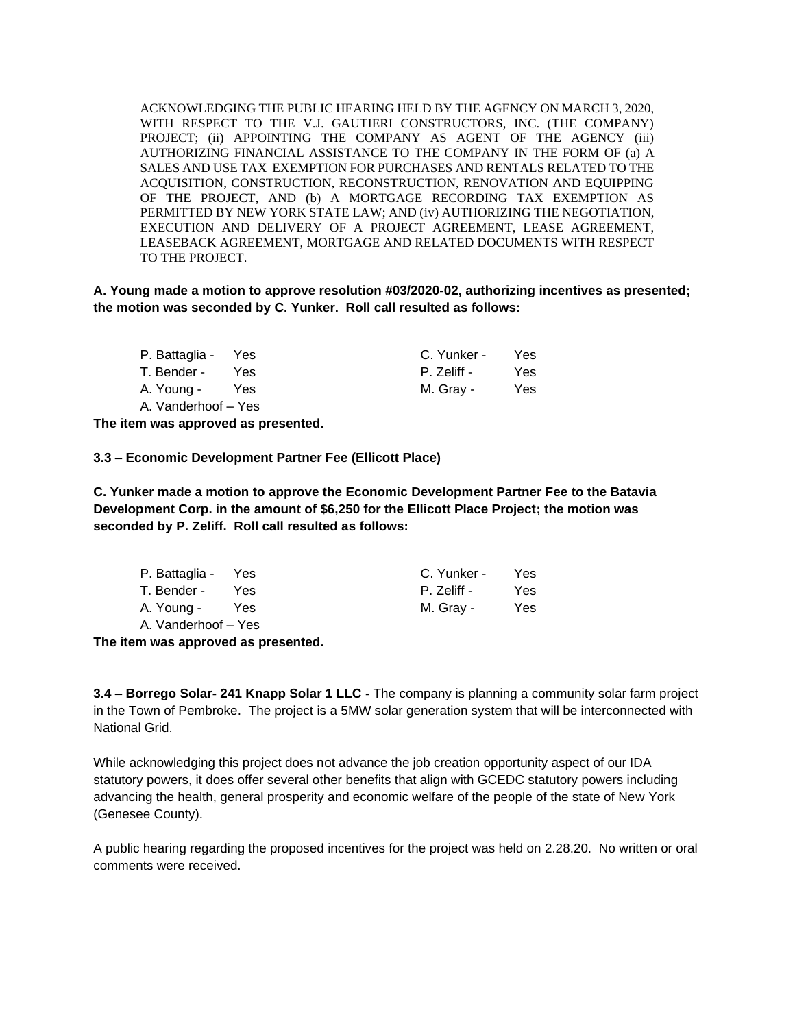ACKNOWLEDGING THE PUBLIC HEARING HELD BY THE AGENCY ON MARCH 3, 2020, WITH RESPECT TO THE V.J. GAUTIERI CONSTRUCTORS, INC. (THE COMPANY) PROJECT; (ii) APPOINTING THE COMPANY AS AGENT OF THE AGENCY (iii) AUTHORIZING FINANCIAL ASSISTANCE TO THE COMPANY IN THE FORM OF (a) A SALES AND USE TAX EXEMPTION FOR PURCHASES AND RENTALS RELATED TO THE ACQUISITION, CONSTRUCTION, RECONSTRUCTION, RENOVATION AND EQUIPPING OF THE PROJECT, AND (b) A MORTGAGE RECORDING TAX EXEMPTION AS PERMITTED BY NEW YORK STATE LAW; AND (iv) AUTHORIZING THE NEGOTIATION, EXECUTION AND DELIVERY OF A PROJECT AGREEMENT, LEASE AGREEMENT, LEASEBACK AGREEMENT, MORTGAGE AND RELATED DOCUMENTS WITH RESPECT TO THE PROJECT.

**A. Young made a motion to approve resolution #03/2020-02, authorizing incentives as presented; the motion was seconded by C. Yunker. Roll call resulted as follows:**

| P. Battaglia - Yes  |            | C. Yunker - | Yes. |
|---------------------|------------|-------------|------|
| T. Bender -         | <b>Yes</b> | P. Zeliff - | Yes. |
| A. Young -          | Yes        | M. Gray -   | Yes. |
| A. Vanderhoof - Yes |            |             |      |

**The item was approved as presented.**

**3.3 – Economic Development Partner Fee (Ellicott Place)** 

**C. Yunker made a motion to approve the Economic Development Partner Fee to the Batavia Development Corp. in the amount of \$6,250 for the Ellicott Place Project; the motion was seconded by P. Zeliff. Roll call resulted as follows:**

| P. Battaglia - Yes  |     | C. Yunker - | Yes. |
|---------------------|-----|-------------|------|
| T. Bender -         | Yes | P. Zeliff - | Yes. |
| A. Young -          | Yes | M. Gray -   | Yes. |
| A. Vanderhoof – Yes |     |             |      |

**The item was approved as presented.**

**3.4 – Borrego Solar- 241 Knapp Solar 1 LLC -** The company is planning a community solar farm project in the Town of Pembroke. The project is a 5MW solar generation system that will be interconnected with National Grid.

While acknowledging this project does not advance the job creation opportunity aspect of our IDA statutory powers, it does offer several other benefits that align with GCEDC statutory powers including advancing the health, general prosperity and economic welfare of the people of the state of New York (Genesee County).

A public hearing regarding the proposed incentives for the project was held on 2.28.20. No written or oral comments were received.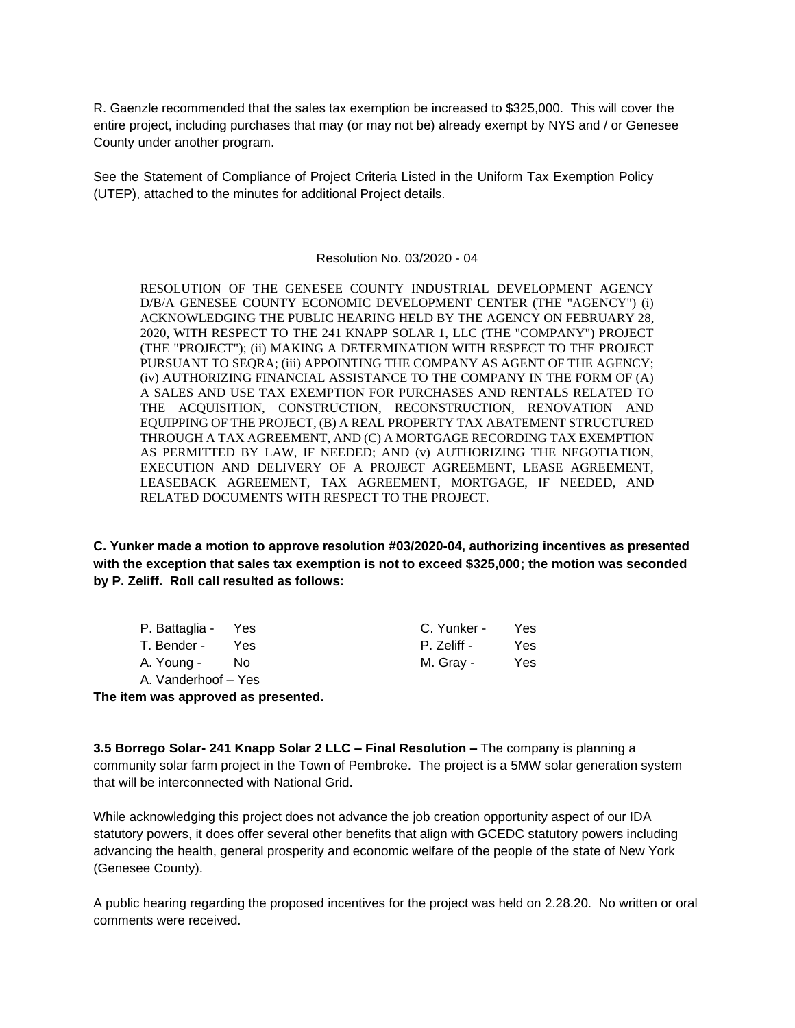R. Gaenzle recommended that the sales tax exemption be increased to \$325,000. This will cover the entire project, including purchases that may (or may not be) already exempt by NYS and / or Genesee County under another program.

See the Statement of Compliance of Project Criteria Listed in the Uniform Tax Exemption Policy (UTEP), attached to the minutes for additional Project details.

### Resolution No. 03/2020 - 04

RESOLUTION OF THE GENESEE COUNTY INDUSTRIAL DEVELOPMENT AGENCY D/B/A GENESEE COUNTY ECONOMIC DEVELOPMENT CENTER (THE "AGENCY") (i) ACKNOWLEDGING THE PUBLIC HEARING HELD BY THE AGENCY ON FEBRUARY 28, 2020, WITH RESPECT TO THE 241 KNAPP SOLAR 1, LLC (THE "COMPANY") PROJECT (THE "PROJECT"); (ii) MAKING A DETERMINATION WITH RESPECT TO THE PROJECT PURSUANT TO SEQRA; (iii) APPOINTING THE COMPANY AS AGENT OF THE AGENCY; (iv) AUTHORIZING FINANCIAL ASSISTANCE TO THE COMPANY IN THE FORM OF (A) A SALES AND USE TAX EXEMPTION FOR PURCHASES AND RENTALS RELATED TO THE ACQUISITION, CONSTRUCTION, RECONSTRUCTION, RENOVATION AND EQUIPPING OF THE PROJECT, (B) A REAL PROPERTY TAX ABATEMENT STRUCTURED THROUGH A TAX AGREEMENT, AND (C) A MORTGAGE RECORDING TAX EXEMPTION AS PERMITTED BY LAW, IF NEEDED; AND (v) AUTHORIZING THE NEGOTIATION, EXECUTION AND DELIVERY OF A PROJECT AGREEMENT, LEASE AGREEMENT, LEASEBACK AGREEMENT, TAX AGREEMENT, MORTGAGE, IF NEEDED, AND RELATED DOCUMENTS WITH RESPECT TO THE PROJECT.

**C. Yunker made a motion to approve resolution #03/2020-04, authorizing incentives as presented with the exception that sales tax exemption is not to exceed \$325,000; the motion was seconded by P. Zeliff. Roll call resulted as follows:**

| P. Battaglia - Yes  |     | C. Yunker - | Yes. |
|---------------------|-----|-------------|------|
| T. Bender -         | Yes | P. Zeliff - | Yes. |
| A. Young -          | No. | M. Gray -   | Yes. |
| A. Vanderhoof – Yes |     |             |      |

**The item was approved as presented.**

**3.5 Borrego Solar- 241 Knapp Solar 2 LLC – Final Resolution –** The company is planning a community solar farm project in the Town of Pembroke. The project is a 5MW solar generation system that will be interconnected with National Grid.

While acknowledging this project does not advance the job creation opportunity aspect of our IDA statutory powers, it does offer several other benefits that align with GCEDC statutory powers including advancing the health, general prosperity and economic welfare of the people of the state of New York (Genesee County).

A public hearing regarding the proposed incentives for the project was held on 2.28.20. No written or oral comments were received.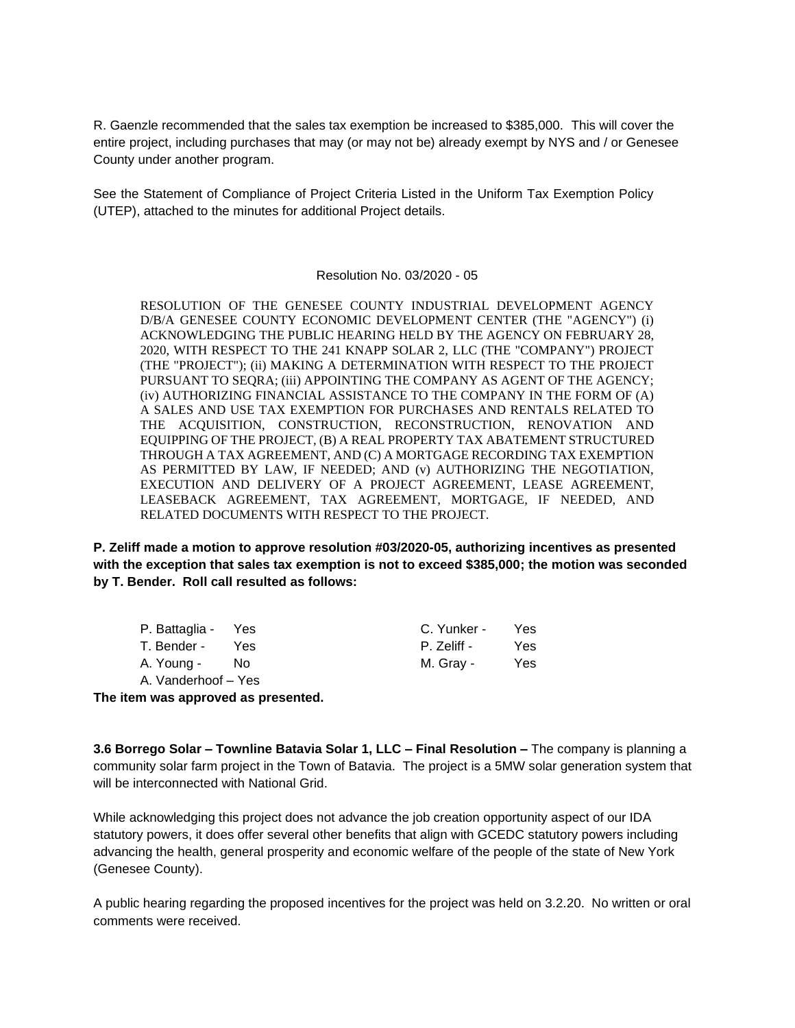R. Gaenzle recommended that the sales tax exemption be increased to \$385,000. This will cover the entire project, including purchases that may (or may not be) already exempt by NYS and / or Genesee County under another program.

See the Statement of Compliance of Project Criteria Listed in the Uniform Tax Exemption Policy (UTEP), attached to the minutes for additional Project details.

#### Resolution No. 03/2020 - 05

RESOLUTION OF THE GENESEE COUNTY INDUSTRIAL DEVELOPMENT AGENCY D/B/A GENESEE COUNTY ECONOMIC DEVELOPMENT CENTER (THE "AGENCY") (i) ACKNOWLEDGING THE PUBLIC HEARING HELD BY THE AGENCY ON FEBRUARY 28, 2020, WITH RESPECT TO THE 241 KNAPP SOLAR 2, LLC (THE "COMPANY") PROJECT (THE "PROJECT"); (ii) MAKING A DETERMINATION WITH RESPECT TO THE PROJECT PURSUANT TO SEQRA; (iii) APPOINTING THE COMPANY AS AGENT OF THE AGENCY; (iv) AUTHORIZING FINANCIAL ASSISTANCE TO THE COMPANY IN THE FORM OF (A) A SALES AND USE TAX EXEMPTION FOR PURCHASES AND RENTALS RELATED TO THE ACQUISITION, CONSTRUCTION, RECONSTRUCTION, RENOVATION AND EQUIPPING OF THE PROJECT, (B) A REAL PROPERTY TAX ABATEMENT STRUCTURED THROUGH A TAX AGREEMENT, AND (C) A MORTGAGE RECORDING TAX EXEMPTION AS PERMITTED BY LAW, IF NEEDED; AND (v) AUTHORIZING THE NEGOTIATION, EXECUTION AND DELIVERY OF A PROJECT AGREEMENT, LEASE AGREEMENT, LEASEBACK AGREEMENT, TAX AGREEMENT, MORTGAGE, IF NEEDED, AND RELATED DOCUMENTS WITH RESPECT TO THE PROJECT.

**P. Zeliff made a motion to approve resolution #03/2020-05, authorizing incentives as presented with the exception that sales tax exemption is not to exceed \$385,000; the motion was seconded by T. Bender. Roll call resulted as follows:**

| P. Battaglia - Yes  |      | C. Yunker - | Yes. |
|---------------------|------|-------------|------|
| T. Bender -         | Yes  | P. Zeliff - | Yes. |
| A. Young -          | - No | M. Gray -   | Yes. |
| A. Vanderhoof – Yes |      |             |      |

**The item was approved as presented.**

**3.6 Borrego Solar – Townline Batavia Solar 1, LLC – Final Resolution –** The company is planning a community solar farm project in the Town of Batavia. The project is a 5MW solar generation system that will be interconnected with National Grid

While acknowledging this project does not advance the job creation opportunity aspect of our IDA statutory powers, it does offer several other benefits that align with GCEDC statutory powers including advancing the health, general prosperity and economic welfare of the people of the state of New York (Genesee County).

A public hearing regarding the proposed incentives for the project was held on 3.2.20. No written or oral comments were received.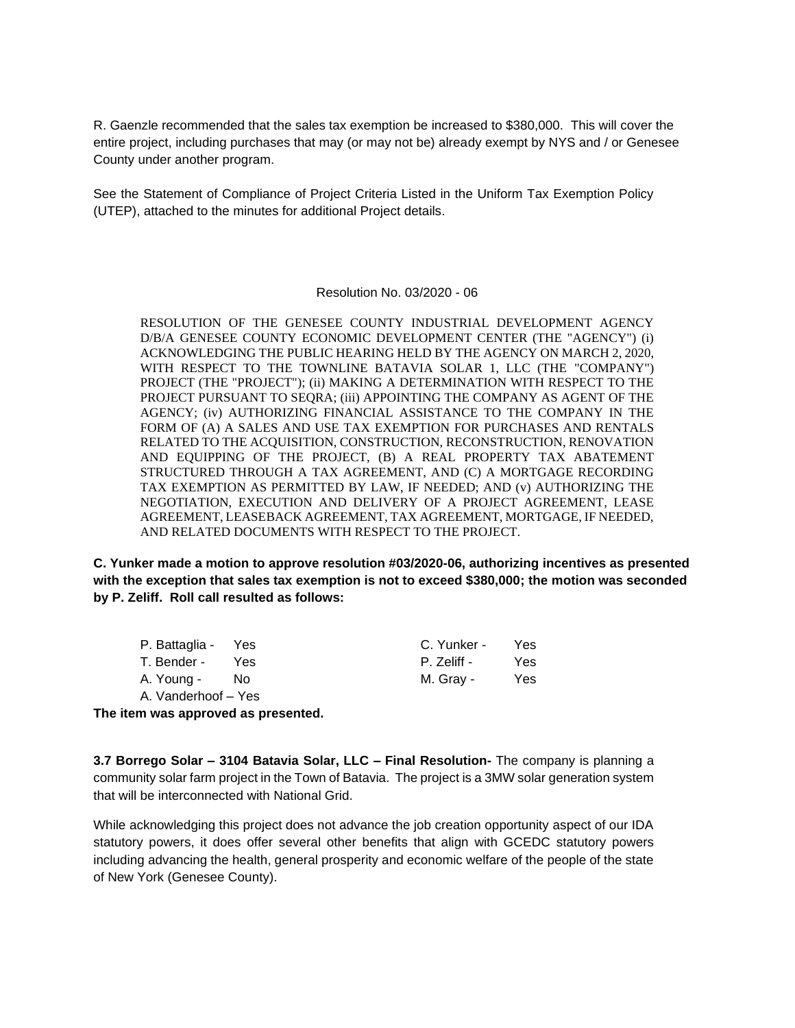R. Gaenzle recommended that the sales tax exemption be increased to \$380,000. This will cover the entire project, including purchases that may (or may not be) already exempt by NYS and / or Genesee County under another program.

See the Statement of Compliance of Project Criteria Listed in the Uniform Tax Exemption Policy (UTEP), attached to the minutes for additional Project details.

### Resolution No. 03/2020 - 06

RESOLUTION OF THE GENESEE COUNTY INDUSTRIAL DEVELOPMENT AGENCY D/B/A GENESEE COUNTY ECONOMIC DEVELOPMENT CENTER (THE "AGENCY") (i) ACKNOWLEDGING THE PUBLIC HEARING HELD BY THE AGENCY ON MARCH 2, 2020, WITH RESPECT TO THE TOWNLINE BATAVIA SOLAR 1, LLC (THE "COMPANY") PROJECT (THE "PROJECT"); (ii) MAKING A DETERMINATION WITH RESPECT TO THE PROJECT PURSUANT TO SEQRA; (iii) APPOINTING THE COMPANY AS AGENT OF THE AGENCY; (iv) AUTHORIZING FINANCIAL ASSISTANCE TO THE COMPANY IN THE FORM OF (A) A SALES AND USE TAX EXEMPTION FOR PURCHASES AND RENTALS RELATED TO THE ACQUISITION, CONSTRUCTION, RECONSTRUCTION, RENOVATION AND EQUIPPING OF THE PROJECT, (B) A REAL PROPERTY TAX ABATEMENT STRUCTURED THROUGH A TAX AGREEMENT, AND (C) A MORTGAGE RECORDING TAX EXEMPTION AS PERMITTED BY LAW, IF NEEDED; AND (v) AUTHORIZING THE NEGOTIATION, EXECUTION AND DELIVERY OF A PROJECT AGREEMENT, LEASE AGREEMENT, LEASEBACK AGREEMENT, TAX AGREEMENT, MORTGAGE, IF NEEDED, AND RELATED DOCUMENTS WITH RESPECT TO THE PROJECT.

**C. Yunker made a motion to approve resolution #03/2020-06, authorizing incentives as presented with the exception that sales tax exemption is not to exceed \$380,000; the motion was seconded by P. Zeliff. Roll call resulted as follows:**

| P. Battaglia - Yes  |     | C. Yunker - | Yes |
|---------------------|-----|-------------|-----|
| T. Bender -         | Yes | P. Zeliff - | Yes |
| A. Young -          | No. | M. Gray -   | Yes |
| A. Vanderhoof – Yes |     |             |     |

**The item was approved as presented.**

**3.7 Borrego Solar – 3104 Batavia Solar, LLC – Final Resolution-** The company is planning a community solar farm project in the Town of Batavia. The project is a 3MW solar generation system that will be interconnected with National Grid.

While acknowledging this project does not advance the job creation opportunity aspect of our IDA statutory powers, it does offer several other benefits that align with GCEDC statutory powers including advancing the health, general prosperity and economic welfare of the people of the state of New York (Genesee County).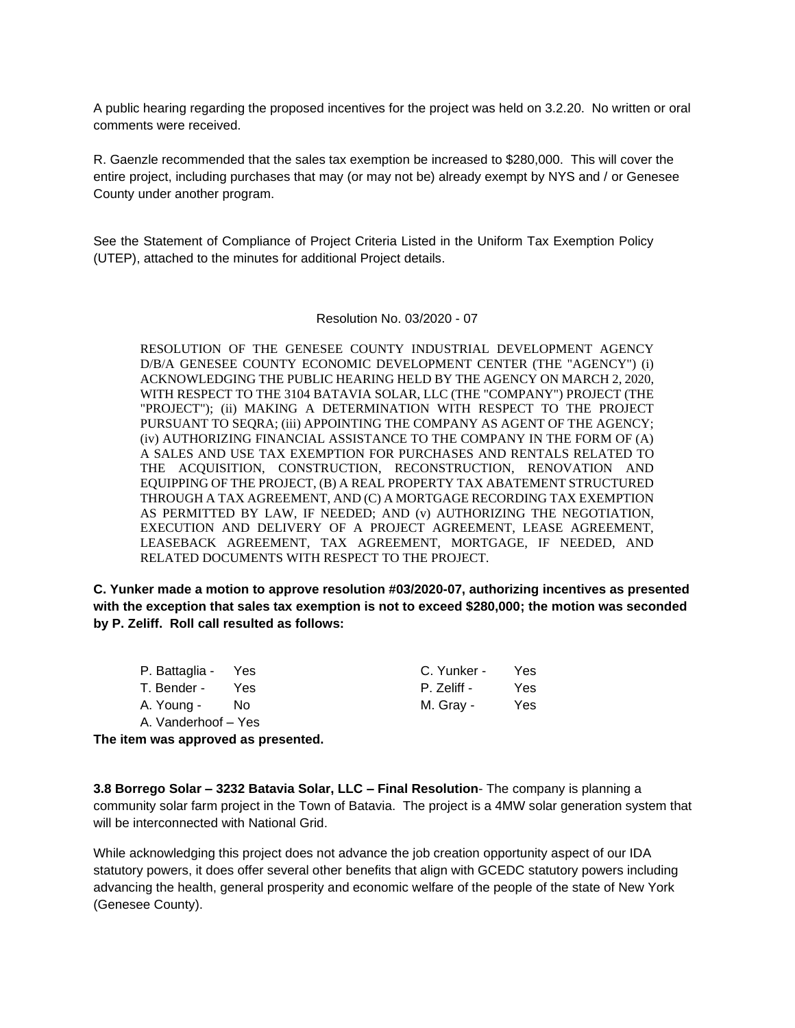A public hearing regarding the proposed incentives for the project was held on 3.2.20. No written or oral comments were received.

R. Gaenzle recommended that the sales tax exemption be increased to \$280,000. This will cover the entire project, including purchases that may (or may not be) already exempt by NYS and / or Genesee County under another program.

See the Statement of Compliance of Project Criteria Listed in the Uniform Tax Exemption Policy (UTEP), attached to the minutes for additional Project details.

Resolution No. 03/2020 - 07

RESOLUTION OF THE GENESEE COUNTY INDUSTRIAL DEVELOPMENT AGENCY D/B/A GENESEE COUNTY ECONOMIC DEVELOPMENT CENTER (THE "AGENCY") (i) ACKNOWLEDGING THE PUBLIC HEARING HELD BY THE AGENCY ON MARCH 2, 2020, WITH RESPECT TO THE 3104 BATAVIA SOLAR, LLC (THE "COMPANY") PROJECT (THE "PROJECT"); (ii) MAKING A DETERMINATION WITH RESPECT TO THE PROJECT PURSUANT TO SEQRA; (iii) APPOINTING THE COMPANY AS AGENT OF THE AGENCY; (iv) AUTHORIZING FINANCIAL ASSISTANCE TO THE COMPANY IN THE FORM OF (A) A SALES AND USE TAX EXEMPTION FOR PURCHASES AND RENTALS RELATED TO THE ACQUISITION, CONSTRUCTION, RECONSTRUCTION, RENOVATION AND EQUIPPING OF THE PROJECT, (B) A REAL PROPERTY TAX ABATEMENT STRUCTURED THROUGH A TAX AGREEMENT, AND (C) A MORTGAGE RECORDING TAX EXEMPTION AS PERMITTED BY LAW, IF NEEDED; AND (v) AUTHORIZING THE NEGOTIATION, EXECUTION AND DELIVERY OF A PROJECT AGREEMENT, LEASE AGREEMENT, LEASEBACK AGREEMENT, TAX AGREEMENT, MORTGAGE, IF NEEDED, AND RELATED DOCUMENTS WITH RESPECT TO THE PROJECT.

**C. Yunker made a motion to approve resolution #03/2020-07, authorizing incentives as presented with the exception that sales tax exemption is not to exceed \$280,000; the motion was seconded by P. Zeliff. Roll call resulted as follows:**

| P. Battaglia - Yes  |            | C. Yunker - | Yes. |
|---------------------|------------|-------------|------|
| T. Bender -         | <b>Yes</b> | P. Zeliff - | Yes. |
| A. Young -          | No.        | M. Gray -   | Yes. |
| A. Vanderhoof – Yes |            |             |      |

**The item was approved as presented.**

**3.8 Borrego Solar – 3232 Batavia Solar, LLC – Final Resolution**- The company is planning a community solar farm project in the Town of Batavia. The project is a 4MW solar generation system that will be interconnected with National Grid.

While acknowledging this project does not advance the job creation opportunity aspect of our IDA statutory powers, it does offer several other benefits that align with GCEDC statutory powers including advancing the health, general prosperity and economic welfare of the people of the state of New York (Genesee County).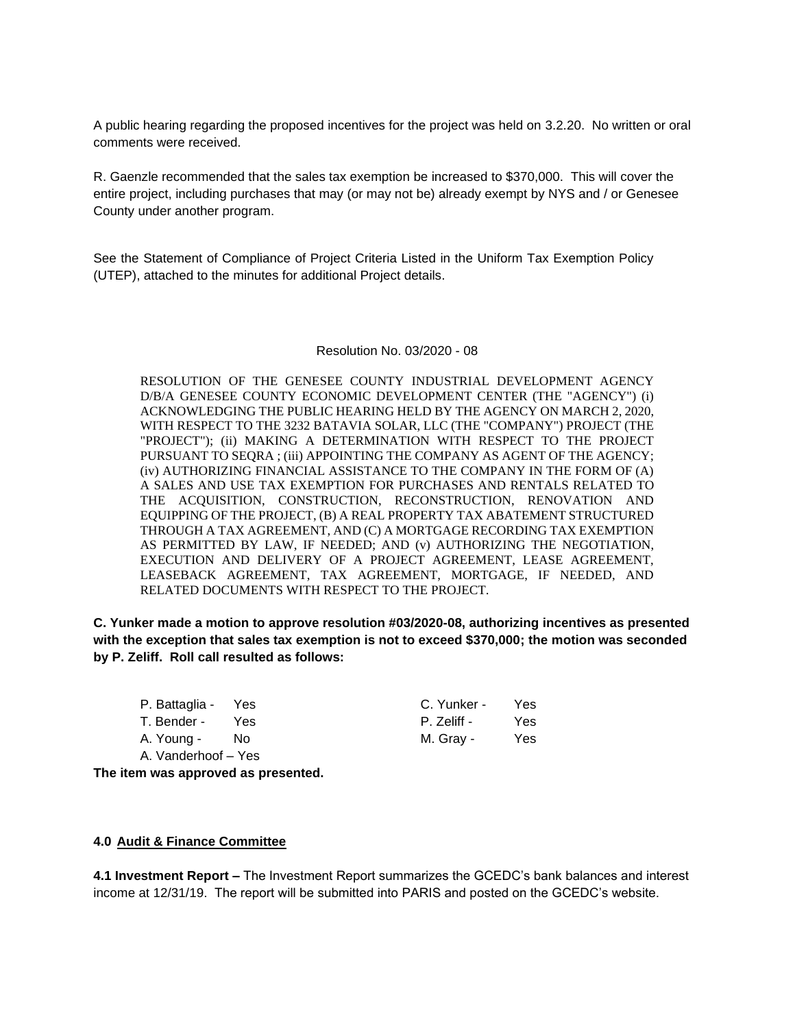A public hearing regarding the proposed incentives for the project was held on 3.2.20. No written or oral comments were received.

R. Gaenzle recommended that the sales tax exemption be increased to \$370,000. This will cover the entire project, including purchases that may (or may not be) already exempt by NYS and / or Genesee County under another program.

See the Statement of Compliance of Project Criteria Listed in the Uniform Tax Exemption Policy (UTEP), attached to the minutes for additional Project details.

#### Resolution No. 03/2020 - 08

RESOLUTION OF THE GENESEE COUNTY INDUSTRIAL DEVELOPMENT AGENCY D/B/A GENESEE COUNTY ECONOMIC DEVELOPMENT CENTER (THE "AGENCY") (i) ACKNOWLEDGING THE PUBLIC HEARING HELD BY THE AGENCY ON MARCH 2, 2020, WITH RESPECT TO THE 3232 BATAVIA SOLAR, LLC (THE "COMPANY") PROJECT (THE "PROJECT"); (ii) MAKING A DETERMINATION WITH RESPECT TO THE PROJECT PURSUANT TO SEQRA ; (iii) APPOINTING THE COMPANY AS AGENT OF THE AGENCY; (iv) AUTHORIZING FINANCIAL ASSISTANCE TO THE COMPANY IN THE FORM OF (A) A SALES AND USE TAX EXEMPTION FOR PURCHASES AND RENTALS RELATED TO THE ACQUISITION, CONSTRUCTION, RECONSTRUCTION, RENOVATION AND EQUIPPING OF THE PROJECT, (B) A REAL PROPERTY TAX ABATEMENT STRUCTURED THROUGH A TAX AGREEMENT, AND (C) A MORTGAGE RECORDING TAX EXEMPTION AS PERMITTED BY LAW, IF NEEDED; AND (v) AUTHORIZING THE NEGOTIATION, EXECUTION AND DELIVERY OF A PROJECT AGREEMENT, LEASE AGREEMENT, LEASEBACK AGREEMENT, TAX AGREEMENT, MORTGAGE, IF NEEDED, AND RELATED DOCUMENTS WITH RESPECT TO THE PROJECT.

**C. Yunker made a motion to approve resolution #03/2020-08, authorizing incentives as presented with the exception that sales tax exemption is not to exceed \$370,000; the motion was seconded by P. Zeliff. Roll call resulted as follows:**

| P. Battaglia - Yes  |      | C. Yunker - | Yes. |
|---------------------|------|-------------|------|
| T. Bender -         | Yes. | P. Zeliff - | Yes. |
| A. Young -          | No.  | M. Gray -   | Yes  |
| A. Vanderhoof – Yes |      |             |      |

**The item was approved as presented.**

### **4.0 Audit & Finance Committee**

**4.1 Investment Report –** The Investment Report summarizes the GCEDC's bank balances and interest income at 12/31/19. The report will be submitted into PARIS and posted on the GCEDC's website.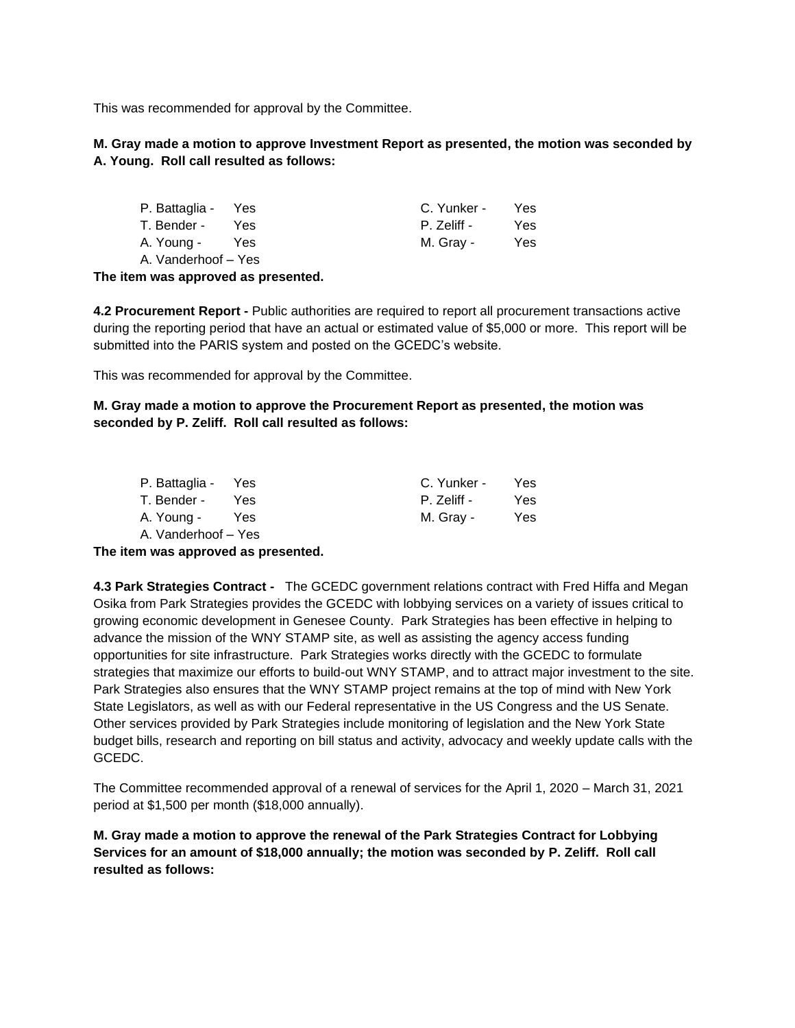This was recommended for approval by the Committee.

**M. Gray made a motion to approve Investment Report as presented, the motion was seconded by A. Young. Roll call resulted as follows:**

| P. Battaglia - Yes  |      | C. Yunker - | Yes. |
|---------------------|------|-------------|------|
| T. Bender -         | Yes. | P. Zeliff - | Yes. |
| A. Young -          | Yes  | M. Gray -   | Yes. |
| A. Vanderhoof – Yes |      |             |      |

**The item was approved as presented.**

**4.2 Procurement Report -** Public authorities are required to report all procurement transactions active during the reporting period that have an actual or estimated value of \$5,000 or more. This report will be submitted into the PARIS system and posted on the GCEDC's website.

This was recommended for approval by the Committee.

**M. Gray made a motion to approve the Procurement Report as presented, the motion was seconded by P. Zeliff. Roll call resulted as follows:**

| P. Battaglia - Yes  |      | C. Yunker - | Yes  |
|---------------------|------|-------------|------|
| T. Bender -         | Yes. | P. Zeliff - | Yes. |
| A. Young -          | Yes  | M. Gray -   | Yes. |
| A. Vanderhoof - Yes |      |             |      |

**The item was approved as presented.**

**4.3 Park Strategies Contract -** The GCEDC government relations contract with Fred Hiffa and Megan Osika from Park Strategies provides the GCEDC with lobbying services on a variety of issues critical to growing economic development in Genesee County. Park Strategies has been effective in helping to advance the mission of the WNY STAMP site, as well as assisting the agency access funding opportunities for site infrastructure. Park Strategies works directly with the GCEDC to formulate strategies that maximize our efforts to build-out WNY STAMP, and to attract major investment to the site. Park Strategies also ensures that the WNY STAMP project remains at the top of mind with New York State Legislators, as well as with our Federal representative in the US Congress and the US Senate. Other services provided by Park Strategies include monitoring of legislation and the New York State budget bills, research and reporting on bill status and activity, advocacy and weekly update calls with the GCEDC.

The Committee recommended approval of a renewal of services for the April 1, 2020 – March 31, 2021 period at \$1,500 per month (\$18,000 annually).

**M. Gray made a motion to approve the renewal of the Park Strategies Contract for Lobbying Services for an amount of \$18,000 annually; the motion was seconded by P. Zeliff. Roll call resulted as follows:**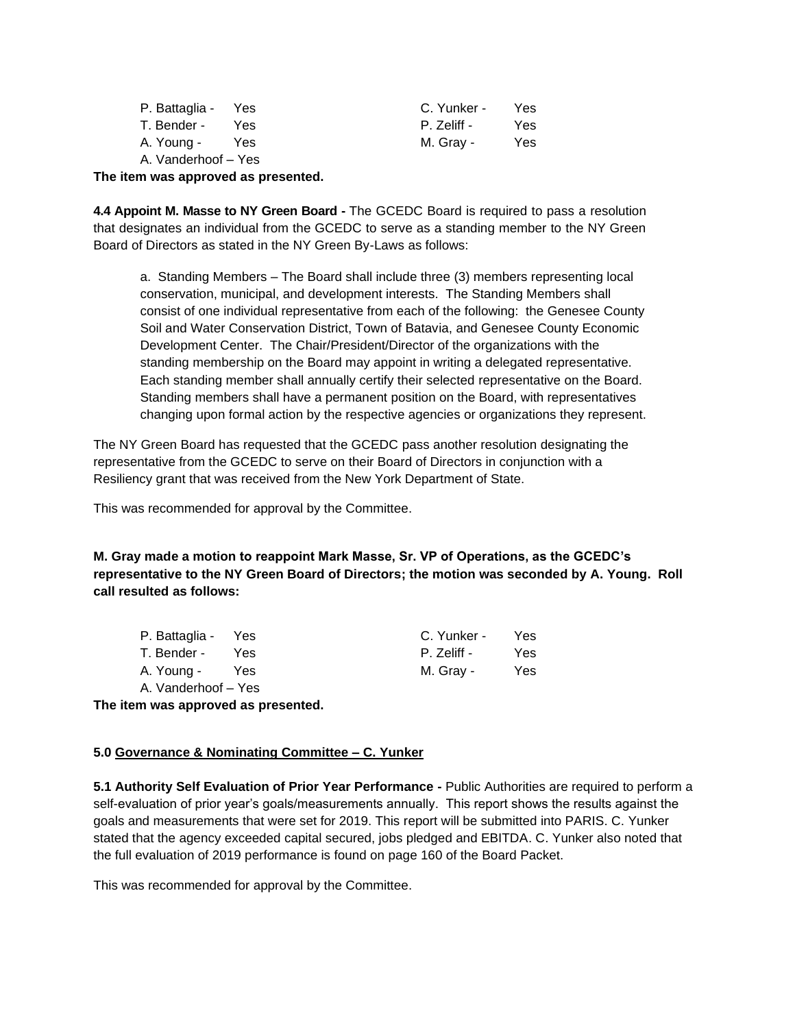| P. Battaglia - Yes  |     | C. Yunker - | Yes. |
|---------------------|-----|-------------|------|
| T. Bender -         | Yes | P. Zeliff - | Yes. |
| A. Young -          | Yes | M. Gray -   | Yes. |
| A. Vanderhoof – Yes |     |             |      |

**The item was approved as presented.**

**4.4 Appoint M. Masse to NY Green Board -** The GCEDC Board is required to pass a resolution that designates an individual from the GCEDC to serve as a standing member to the NY Green Board of Directors as stated in the NY Green By-Laws as follows:

a. Standing Members – The Board shall include three (3) members representing local conservation, municipal, and development interests. The Standing Members shall consist of one individual representative from each of the following: the Genesee County Soil and Water Conservation District, Town of Batavia, and Genesee County Economic Development Center. The Chair/President/Director of the organizations with the standing membership on the Board may appoint in writing a delegated representative. Each standing member shall annually certify their selected representative on the Board. Standing members shall have a permanent position on the Board, with representatives changing upon formal action by the respective agencies or organizations they represent.

The NY Green Board has requested that the GCEDC pass another resolution designating the representative from the GCEDC to serve on their Board of Directors in conjunction with a Resiliency grant that was received from the New York Department of State.

This was recommended for approval by the Committee.

**M. Gray made a motion to reappoint Mark Masse, Sr. VP of Operations, as the GCEDC's representative to the NY Green Board of Directors; the motion was seconded by A. Young. Roll call resulted as follows:**

| P. Battaglia - Yes  |      | C. Yunker - | Yes. |
|---------------------|------|-------------|------|
| T. Bender -         | Yes. | P. Zeliff - | Yes. |
| A. Young -          | Yes  | M. Gray -   | Yes. |
| A. Vanderhoof – Yes |      |             |      |

**The item was approved as presented.**

### **5.0 Governance & Nominating Committee – C. Yunker**

**5.1 Authority Self Evaluation of Prior Year Performance -** Public Authorities are required to perform a self-evaluation of prior year's goals/measurements annually. This report shows the results against the goals and measurements that were set for 2019. This report will be submitted into PARIS. C. Yunker stated that the agency exceeded capital secured, jobs pledged and EBITDA. C. Yunker also noted that the full evaluation of 2019 performance is found on page 160 of the Board Packet.

This was recommended for approval by the Committee.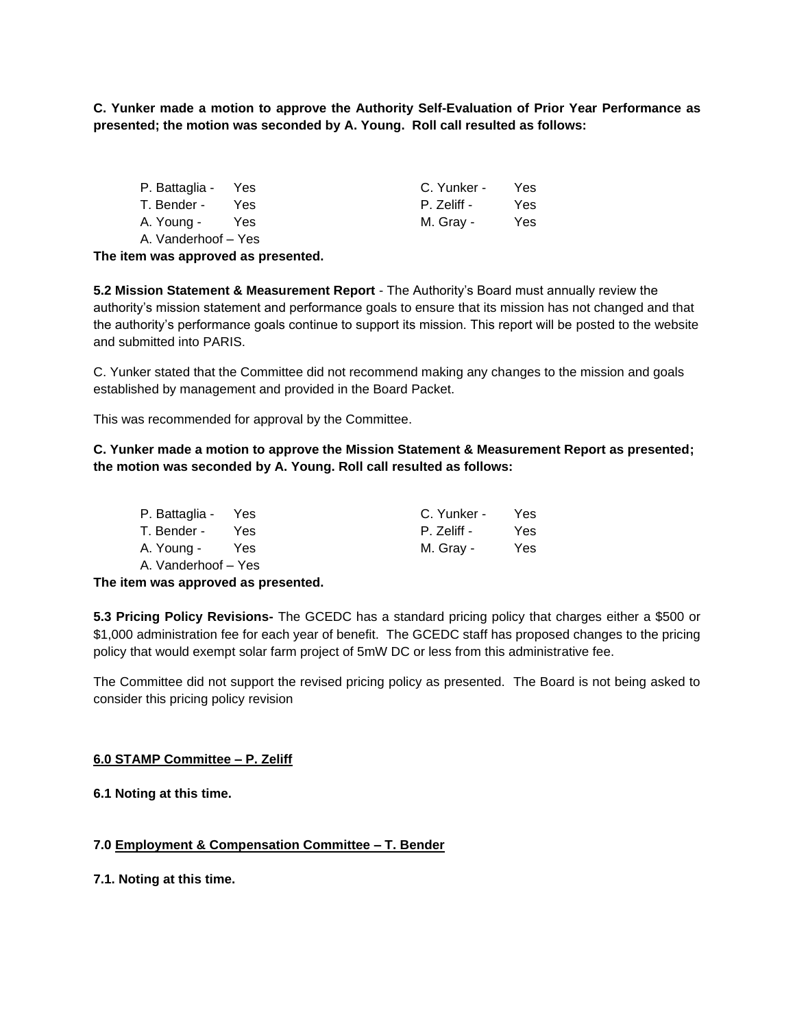**C. Yunker made a motion to approve the Authority Self-Evaluation of Prior Year Performance as presented; the motion was seconded by A. Young. Roll call resulted as follows:**

| P. Battaglia - Yes  |            | C. Yunker - | Yes. |
|---------------------|------------|-------------|------|
| T. Bender -         | <b>Yes</b> | P. Zeliff - | Yes. |
| A. Young -          | Yes        | M. Gray -   | Yes. |
| A. Vanderhoof – Yes |            |             |      |

**The item was approved as presented.**

**5.2 Mission Statement & Measurement Report** - The Authority's Board must annually review the authority's mission statement and performance goals to ensure that its mission has not changed and that the authority's performance goals continue to support its mission. This report will be posted to the website and submitted into PARIS.

C. Yunker stated that the Committee did not recommend making any changes to the mission and goals established by management and provided in the Board Packet.

This was recommended for approval by the Committee.

# **C. Yunker made a motion to approve the Mission Statement & Measurement Report as presented; the motion was seconded by A. Young. Roll call resulted as follows:**

| P. Battaglia - Yes  |      | C. Yunker - | Yes. |
|---------------------|------|-------------|------|
| T. Bender -         | Yes. | P. Zeliff - | Yes. |
| A. Young -          | Yes  | M. Gray -   | Yes. |
| A. Vanderhoof – Yes |      |             |      |

### **The item was approved as presented.**

**5.3 Pricing Policy Revisions-** The GCEDC has a standard pricing policy that charges either a \$500 or \$1,000 administration fee for each year of benefit. The GCEDC staff has proposed changes to the pricing policy that would exempt solar farm project of 5mW DC or less from this administrative fee.

The Committee did not support the revised pricing policy as presented. The Board is not being asked to consider this pricing policy revision

### **6.0 STAMP Committee – P. Zeliff**

**6.1 Noting at this time.**

### **7.0 Employment & Compensation Committee – T. Bender**

**7.1. Noting at this time.**